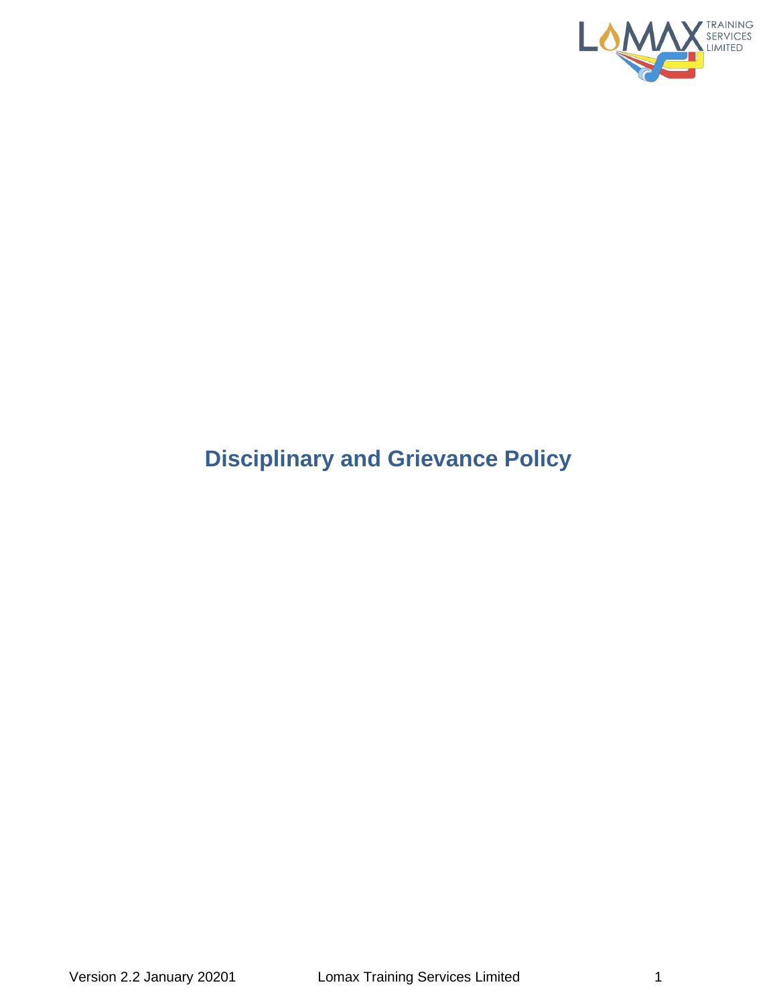

# **Disciplinary and Grievance Policy**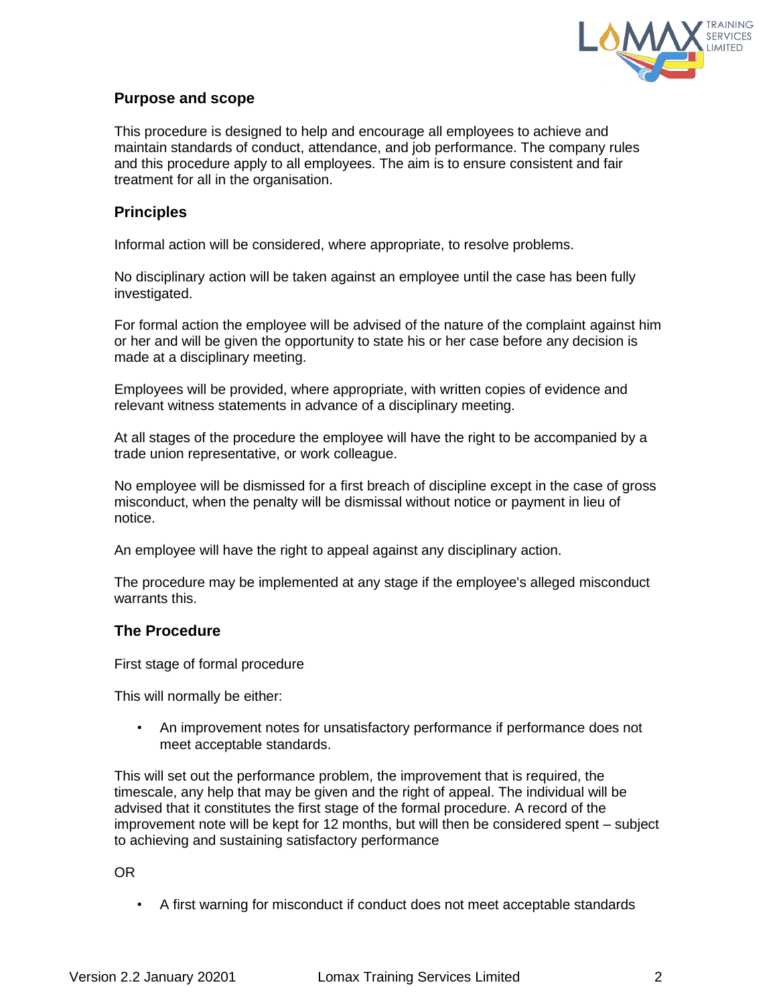

# **Purpose and scope**

This procedure is designed to help and encourage all employees to achieve and maintain standards of conduct, attendance, and job performance. The company rules and this procedure apply to all employees. The aim is to ensure consistent and fair treatment for all in the organisation.

# **Principles**

Informal action will be considered, where appropriate, to resolve problems.

No disciplinary action will be taken against an employee until the case has been fully investigated.

For formal action the employee will be advised of the nature of the complaint against him or her and will be given the opportunity to state his or her case before any decision is made at a disciplinary meeting.

Employees will be provided, where appropriate, with written copies of evidence and relevant witness statements in advance of a disciplinary meeting.

At all stages of the procedure the employee will have the right to be accompanied by a trade union representative, or work colleague.

No employee will be dismissed for a first breach of discipline except in the case of gross misconduct, when the penalty will be dismissal without notice or payment in lieu of notice.

An employee will have the right to appeal against any disciplinary action.

The procedure may be implemented at any stage if the employee's alleged misconduct warrants this.

#### **The Procedure**

First stage of formal procedure

This will normally be either:

• An improvement notes for unsatisfactory performance if performance does not meet acceptable standards.

This will set out the performance problem, the improvement that is required, the timescale, any help that may be given and the right of appeal. The individual will be advised that it constitutes the first stage of the formal procedure. A record of the improvement note will be kept for 12 months, but will then be considered spent – subject to achieving and sustaining satisfactory performance

OR

• A first warning for misconduct if conduct does not meet acceptable standards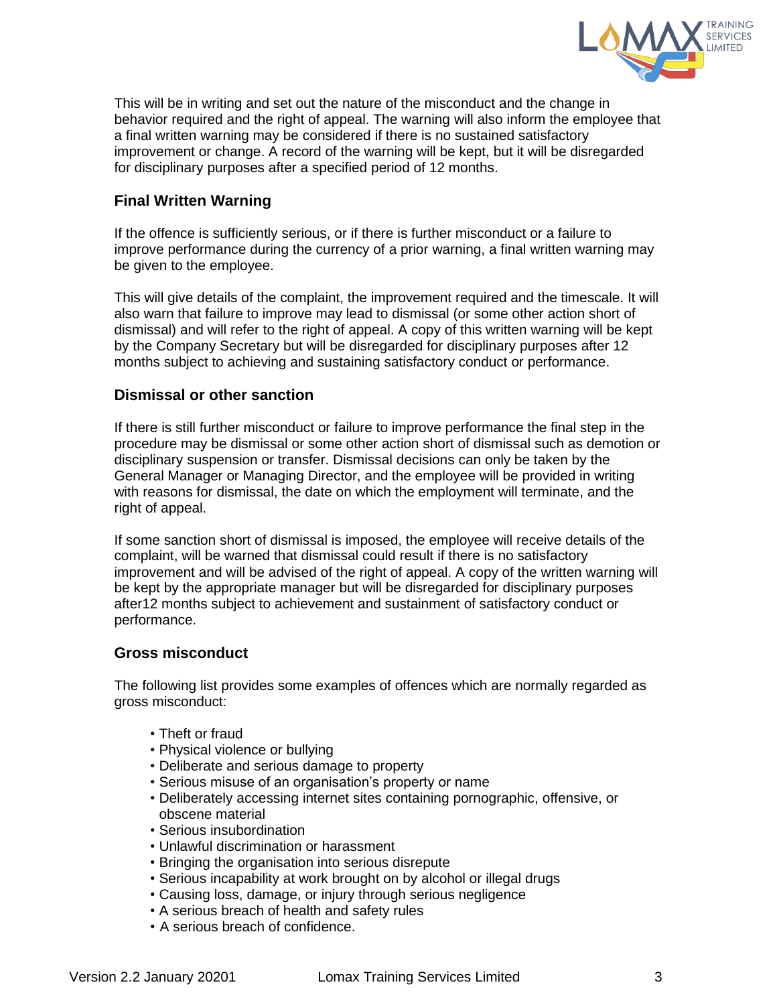

This will be in writing and set out the nature of the misconduct and the change in behavior required and the right of appeal. The warning will also inform the employee that a final written warning may be considered if there is no sustained satisfactory improvement or change. A record of the warning will be kept, but it will be disregarded for disciplinary purposes after a specified period of 12 months.

# **Final Written Warning**

If the offence is sufficiently serious, or if there is further misconduct or a failure to improve performance during the currency of a prior warning, a final written warning may be given to the employee.

This will give details of the complaint, the improvement required and the timescale. It will also warn that failure to improve may lead to dismissal (or some other action short of dismissal) and will refer to the right of appeal. A copy of this written warning will be kept by the Company Secretary but will be disregarded for disciplinary purposes after 12 months subject to achieving and sustaining satisfactory conduct or performance.

#### **Dismissal or other sanction**

If there is still further misconduct or failure to improve performance the final step in the procedure may be dismissal or some other action short of dismissal such as demotion or disciplinary suspension or transfer. Dismissal decisions can only be taken by the General Manager or Managing Director, and the employee will be provided in writing with reasons for dismissal, the date on which the employment will terminate, and the right of appeal.

If some sanction short of dismissal is imposed, the employee will receive details of the complaint, will be warned that dismissal could result if there is no satisfactory improvement and will be advised of the right of appeal. A copy of the written warning will be kept by the appropriate manager but will be disregarded for disciplinary purposes after12 months subject to achievement and sustainment of satisfactory conduct or performance.

#### **Gross misconduct**

The following list provides some examples of offences which are normally regarded as gross misconduct:

- Theft or fraud
- Physical violence or bullying
- Deliberate and serious damage to property
- Serious misuse of an organisation's property or name
- Deliberately accessing internet sites containing pornographic, offensive, or obscene material
- Serious insubordination
- Unlawful discrimination or harassment
- Bringing the organisation into serious disrepute
- Serious incapability at work brought on by alcohol or illegal drugs
- Causing loss, damage, or injury through serious negligence
- A serious breach of health and safety rules
- A serious breach of confidence.